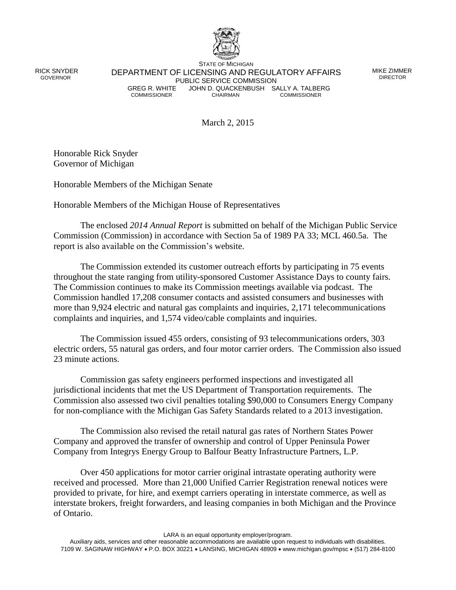

 RICK SNYDER GOVERNOR

STATE OF MICHIGAN DEPARTMENT OF LICENSING AND REGULATORY AFFAIRS PUBLIC SERVICE COMMISSION<br>GREG R. WHITE JOHN D. QUACKENBUSH SA GREG R. WHITE JOHN D. QUACKENBUSH SALLY A. TALBERG<br>COMMISSIONER COMMISSIONER COMMISSIONER **COMMISSIONER** 

MIKE ZIMMER DIRECTOR

March 2, 2015

Honorable Rick Snyder Governor of Michigan

Honorable Members of the Michigan Senate

Honorable Members of the Michigan House of Representatives

The enclosed *2014 Annual Report* is submitted on behalf of the Michigan Public Service Commission (Commission) in accordance with Section 5a of 1989 PA 33; MCL 460.5a. The report is also available on the Commission's website.

The Commission extended its customer outreach efforts by participating in 75 events throughout the state ranging from utility-sponsored Customer Assistance Days to county fairs. The Commission continues to make its Commission meetings available via podcast. The Commission handled 17,208 consumer contacts and assisted consumers and businesses with more than 9,924 electric and natural gas complaints and inquiries, 2,171 telecommunications complaints and inquiries, and 1,574 video/cable complaints and inquiries.

The Commission issued 455 orders, consisting of 93 telecommunications orders, 303 electric orders, 55 natural gas orders, and four motor carrier orders. The Commission also issued 23 minute actions.

Commission gas safety engineers performed inspections and investigated all jurisdictional incidents that met the US Department of Transportation requirements. The Commission also assessed two civil penalties totaling \$90,000 to Consumers Energy Company for non-compliance with the Michigan Gas Safety Standards related to a 2013 investigation.

The Commission also revised the retail natural gas rates of Northern States Power Company and approved the transfer of ownership and control of Upper Peninsula Power Company from Integrys Energy Group to Balfour Beatty Infrastructure Partners, L.P.

Over 450 applications for motor carrier original intrastate operating authority were received and processed. More than 21,000 Unified Carrier Registration renewal notices were provided to private, for hire, and exempt carriers operating in interstate commerce, as well as interstate brokers, freight forwarders, and leasing companies in both Michigan and the Province of Ontario.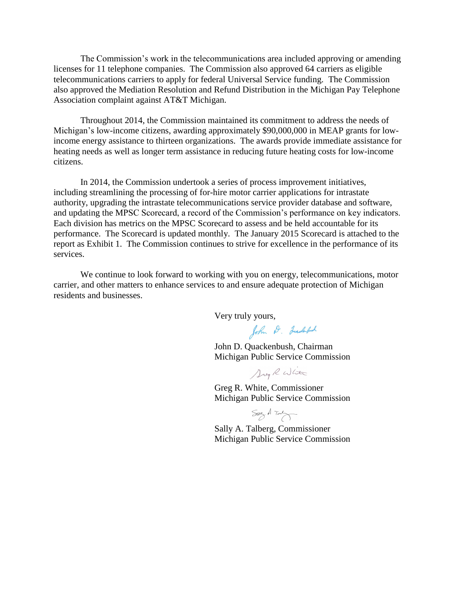The Commission's work in the telecommunications area included approving or amending licenses for 11 telephone companies. The Commission also approved 64 carriers as eligible telecommunications carriers to apply for federal Universal Service funding. The Commission also approved the Mediation Resolution and Refund Distribution in the Michigan Pay Telephone Association complaint against AT&T Michigan.

Throughout 2014, the Commission maintained its commitment to address the needs of Michigan's low-income citizens, awarding approximately \$90,000,000 in MEAP grants for lowincome energy assistance to thirteen organizations. The awards provide immediate assistance for heating needs as well as longer term assistance in reducing future heating costs for low-income citizens.

In 2014, the Commission undertook a series of process improvement initiatives, including streamlining the processing of for-hire motor carrier applications for intrastate authority, upgrading the intrastate telecommunications service provider database and software, and updating the MPSC Scorecard, a record of the Commission's performance on key indicators. Each division has metrics on the MPSC Scorecard to assess and be held accountable for its performance. The Scorecard is updated monthly. The January 2015 Scorecard is attached to the report as Exhibit 1. The Commission continues to strive for excellence in the performance of its services.

We continue to look forward to working with you on energy, telecommunications, motor carrier, and other matters to enhance services to and ensure adequate protection of Michigan residents and businesses.

Very truly yours,

John D. Juackerbush

John D. Quackenbush, Chairman Michigan Public Service Commission

Dreg R Wlite

Greg R. White, Commissioner Michigan Public Service Commission

 $SayA\rightarrow$ 

Sally A. Talberg, Commissioner Michigan Public Service Commission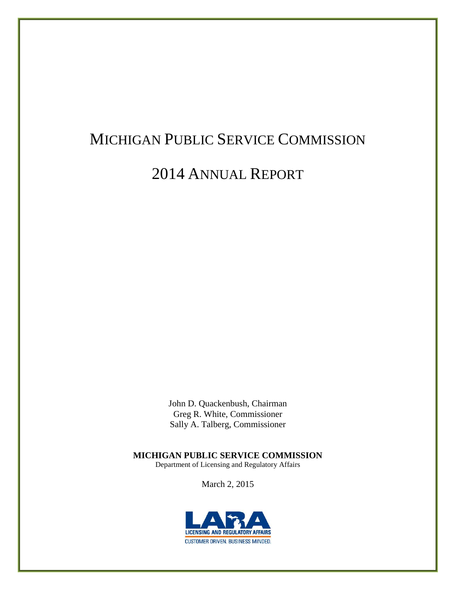# MICHIGAN PUBLIC SERVICE COMMISSION

## 2014 ANNUAL REPORT

John D. Quackenbush, Chairman Greg R. White, Commissioner Sally A. Talberg, Commissioner

**MICHIGAN PUBLIC SERVICE COMMISSION**

Department of Licensing and Regulatory Affairs

March 2, 2015

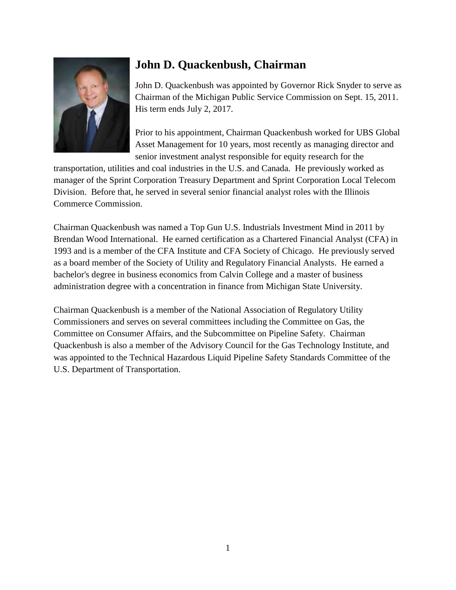

### **John D. Quackenbush, Chairman**

John D. Quackenbush was appointed by Governor Rick Snyder to serve as Chairman of the Michigan Public Service Commission on Sept. 15, 2011. His term ends July 2, 2017.

Prior to his appointment, Chairman Quackenbush worked for UBS Global Asset Management for 10 years, most recently as managing director and senior investment analyst responsible for equity research for the

transportation, utilities and coal industries in the U.S. and Canada. He previously worked as manager of the Sprint Corporation Treasury Department and Sprint Corporation Local Telecom Division. Before that, he served in several senior financial analyst roles with the Illinois Commerce Commission.

Chairman Quackenbush was named a Top Gun U.S. Industrials Investment Mind in 2011 by Brendan Wood International. He earned certification as a Chartered Financial Analyst (CFA) in 1993 and is a member of the CFA Institute and CFA Society of Chicago. He previously served as a board member of the Society of Utility and Regulatory Financial Analysts. He earned a bachelor's degree in business economics from Calvin College and a master of business administration degree with a concentration in finance from Michigan State University.

Chairman Quackenbush is a member of the National Association of Regulatory Utility Commissioners and serves on several committees including the Committee on Gas, the Committee on Consumer Affairs, and the Subcommittee on Pipeline Safety. Chairman Quackenbush is also a member of the Advisory Council for the Gas Technology Institute, and was appointed to the Technical Hazardous Liquid Pipeline Safety Standards Committee of the U.S. Department of Transportation.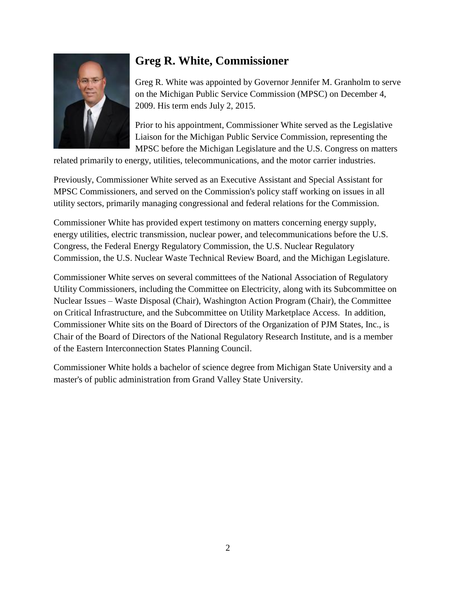

### **Greg R. White, Commissioner**

Greg R. White was appointed by Governor Jennifer M. Granholm to serve on the Michigan Public Service Commission (MPSC) on December 4, 2009. His term ends July 2, 2015.

Prior to his appointment, Commissioner White served as the Legislative Liaison for the Michigan Public Service Commission, representing the MPSC before the Michigan Legislature and the U.S. Congress on matters

related primarily to energy, utilities, telecommunications, and the motor carrier industries.

Previously, Commissioner White served as an Executive Assistant and Special Assistant for MPSC Commissioners, and served on the Commission's policy staff working on issues in all utility sectors, primarily managing congressional and federal relations for the Commission.

Commissioner White has provided expert testimony on matters concerning energy supply, energy utilities, electric transmission, nuclear power, and telecommunications before the U.S. Congress, the Federal Energy Regulatory Commission, the U.S. Nuclear Regulatory Commission, the U.S. Nuclear Waste Technical Review Board, and the Michigan Legislature.

Commissioner White serves on several committees of the National Association of Regulatory Utility Commissioners, including the Committee on Electricity, along with its Subcommittee on Nuclear Issues – Waste Disposal (Chair), Washington Action Program (Chair), the Committee on Critical Infrastructure, and the Subcommittee on Utility Marketplace Access. In addition, Commissioner White sits on the Board of Directors of the Organization of PJM States, Inc., is Chair of the Board of Directors of the National Regulatory Research Institute, and is a member of the Eastern Interconnection States Planning Council.

Commissioner White holds a bachelor of science degree from Michigan State University and a master's of public administration from Grand Valley State University.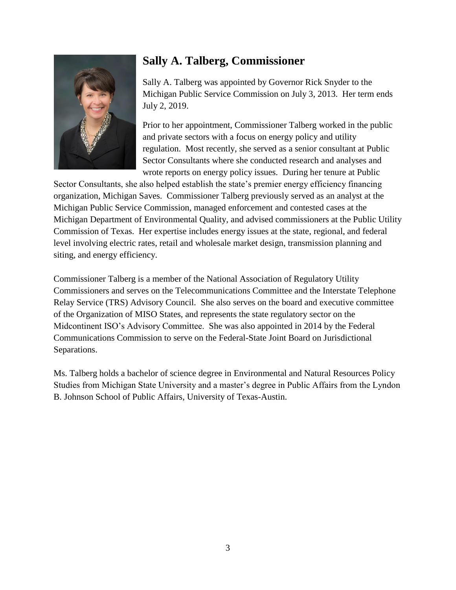

### **Sally A. Talberg, Commissioner**

Sally A. Talberg was appointed by Governor Rick Snyder to the Michigan Public Service Commission on July 3, 2013. Her term ends July 2, 2019.

Prior to her appointment, Commissioner Talberg worked in the public and private sectors with a focus on energy policy and utility regulation. Most recently, she served as a senior consultant at Public Sector Consultants where she conducted research and analyses and wrote reports on energy policy issues. During her tenure at Public

Sector Consultants, she also helped establish the state's premier energy efficiency financing organization, Michigan Saves. Commissioner Talberg previously served as an analyst at the Michigan Public Service Commission, managed enforcement and contested cases at the Michigan Department of Environmental Quality, and advised commissioners at the Public Utility Commission of Texas. Her expertise includes energy issues at the state, regional, and federal level involving electric rates, retail and wholesale market design, transmission planning and siting, and energy efficiency.

Commissioner Talberg is a member of the National Association of Regulatory Utility Commissioners and serves on the Telecommunications Committee and the Interstate Telephone Relay Service (TRS) Advisory Council. She also serves on the board and executive committee of the Organization of MISO States, and represents the state regulatory sector on the Midcontinent ISO's Advisory Committee. She was also appointed in 2014 by the Federal Communications Commission to serve on the Federal-State Joint Board on Jurisdictional Separations.

Ms. Talberg holds a bachelor of science degree in Environmental and Natural Resources Policy Studies from Michigan State University and a master's degree in Public Affairs from the Lyndon B. Johnson School of Public Affairs, University of Texas-Austin.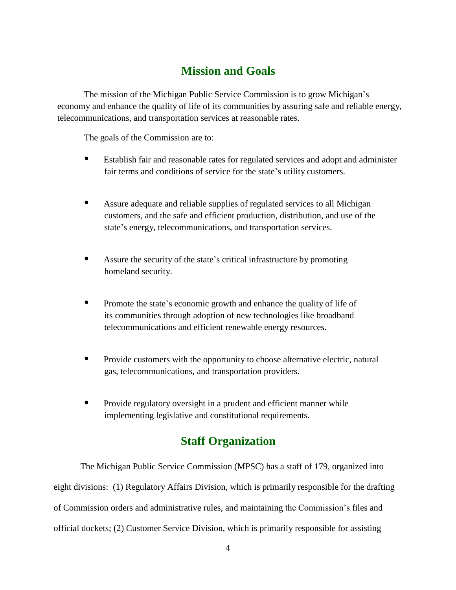### **Mission and Goals**

The mission of the Michigan Public Service Commission is to grow Michigan's economy and enhance the quality of life of its communities by assuring safe and reliable energy, telecommunications, and transportation services at reasonable rates.

The goals of the Commission are to:

- Establish fair and reasonable rates for regulated services and adopt and administer fair terms and conditions of service for the state's utility customers.
- Assure adequate and reliable supplies of regulated services to all Michigan customers, and the safe and efficient production, distribution, and use of the state's energy, telecommunications, and transportation services.
- Assure the security of the state's critical infrastructure by promoting homeland security.
- Promote the state's economic growth and enhance the quality of life of its communities through adoption of new technologies like broadband telecommunications and efficient renewable energy resources.
- $\bullet$  Provide customers with the opportunity to choose alternative electric, natural gas, telecommunications, and transportation providers.
- Provide regulatory oversight in a prudent and efficient manner while implementing legislative and constitutional requirements.

### **Staff Organization**

The Michigan Public Service Commission (MPSC) has a staff of 179, organized into eight divisions: (1) Regulatory Affairs Division, which is primarily responsible for the drafting of Commission orders and administrative rules, and maintaining the Commission's files and official dockets; (2) Customer Service Division, which is primarily responsible for assisting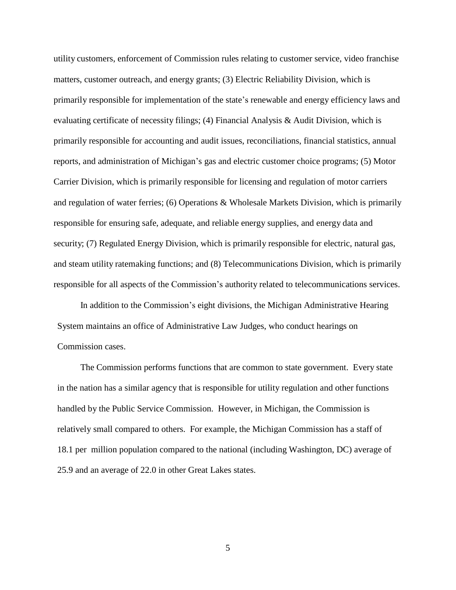utility customers, enforcement of Commission rules relating to customer service, video franchise matters, customer outreach, and energy grants; (3) Electric Reliability Division, which is primarily responsible for implementation of the state's renewable and energy efficiency laws and evaluating certificate of necessity filings; (4) Financial Analysis & Audit Division, which is primarily responsible for accounting and audit issues, reconciliations, financial statistics, annual reports, and administration of Michigan's gas and electric customer choice programs; (5) Motor Carrier Division, which is primarily responsible for licensing and regulation of motor carriers and regulation of water ferries; (6) Operations & Wholesale Markets Division, which is primarily responsible for ensuring safe, adequate, and reliable energy supplies, and energy data and security; (7) Regulated Energy Division, which is primarily responsible for electric, natural gas, and steam utility ratemaking functions; and (8) Telecommunications Division, which is primarily responsible for all aspects of the Commission's authority related to telecommunications services.

In addition to the Commission's eight divisions, the Michigan Administrative Hearing System maintains an office of Administrative Law Judges, who conduct hearings on Commission cases.

The Commission performs functions that are common to state government. Every state in the nation has a similar agency that is responsible for utility regulation and other functions handled by the Public Service Commission. However, in Michigan, the Commission is relatively small compared to others. For example, the Michigan Commission has a staff of 18.1 per million population compared to the national (including Washington, DC) average of 25.9 and an average of 22.0 in other Great Lakes states.

5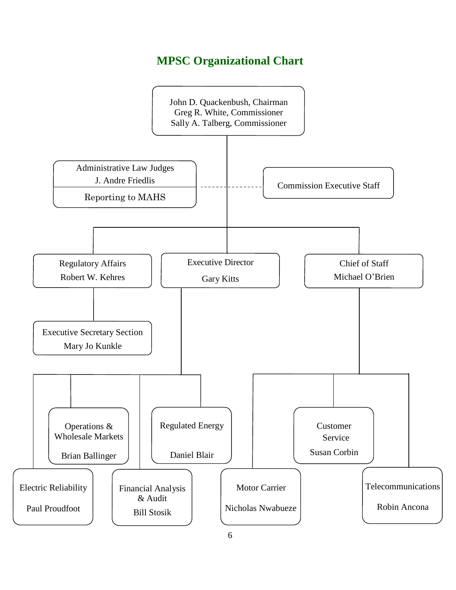### **MPSC Organizational Chart**

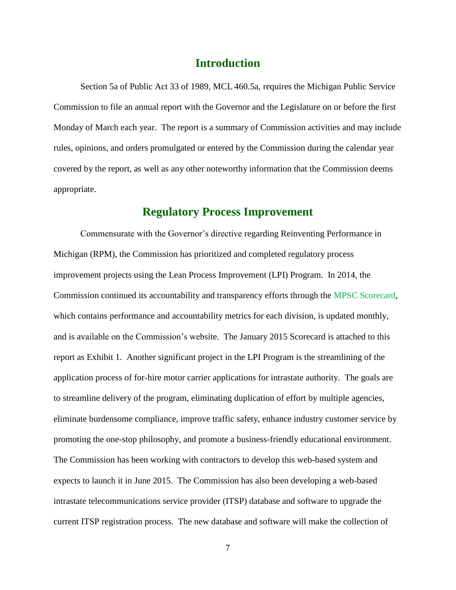### **Introduction**

Section 5a of Public Act 33 of 1989, MCL 460.5a, requires the Michigan Public Service Commission to file an annual report with the Governor and the Legislature on or before the first Monday of March each year. The report is a summary of Commission activities and may include rules, opinions, and orders promulgated or entered by the Commission during the calendar year covered by the report, as well as any other noteworthy information that the Commission deems appropriate.

#### **Regulatory Process Improvement**

Commensurate with the Governor's directive regarding Reinventing Performance in Michigan (RPM), the Commission has prioritized and completed regulatory process improvement projects using the Lean Process Improvement (LPI) Program. In 2014, the Commission continued its accountability and transparency efforts through the [MPSC Scorecard,](http://www.michigan.gov/documents/lara/02_12_MPSC_SC_379657_7.pdf) which contains performance and accountability metrics for each division, is updated monthly, and is available on the Commission's website. The January 2015 Scorecard is attached to this report as Exhibit 1. Another significant project in the LPI Program is the streamlining of the application process of for-hire motor carrier applications for intrastate authority. The goals are to streamline delivery of the program, eliminating duplication of effort by multiple agencies, eliminate burdensome compliance, improve traffic safety, enhance industry customer service by promoting the one-stop philosophy, and promote a business-friendly educational environment. The Commission has been working with contractors to develop this web-based system and expects to launch it in June 2015. The Commission has also been developing a web-based intrastate telecommunications service provider (ITSP) database and software to upgrade the current ITSP registration process. The new database and software will make the collection of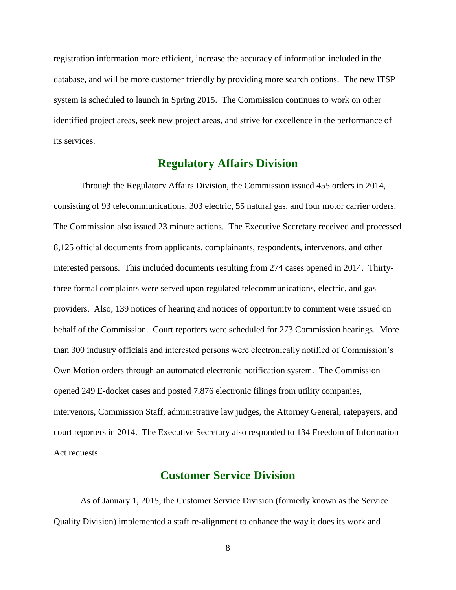registration information more efficient, increase the accuracy of information included in the database, and will be more customer friendly by providing more search options. The new ITSP system is scheduled to launch in Spring 2015. The Commission continues to work on other identified project areas, seek new project areas, and strive for excellence in the performance of its services.

#### **Regulatory Affairs Division**

Through the Regulatory Affairs Division, the Commission issued 455 orders in 2014, consisting of 93 telecommunications, 303 electric, 55 natural gas, and four motor carrier orders. The Commission also issued 23 minute actions. The Executive Secretary received and processed 8,125 official documents from applicants, complainants, respondents, intervenors, and other interested persons. This included documents resulting from 274 cases opened in 2014. Thirtythree formal complaints were served upon regulated telecommunications, electric, and gas providers. Also, 139 notices of hearing and notices of opportunity to comment were issued on behalf of the Commission. Court reporters were scheduled for 273 Commission hearings. More than 300 industry officials and interested persons were electronically notified of Commission's Own Motion orders through an automated electronic notification system. The Commission opened 249 E-docket cases and posted 7,876 electronic filings from utility companies, intervenors, Commission Staff, administrative law judges, the Attorney General, ratepayers, and court reporters in 2014. The Executive Secretary also responded to 134 Freedom of Information Act requests.

#### **Customer Service Division**

As of January 1, 2015, the Customer Service Division (formerly known as the Service Quality Division) implemented a staff re-alignment to enhance the way it does its work and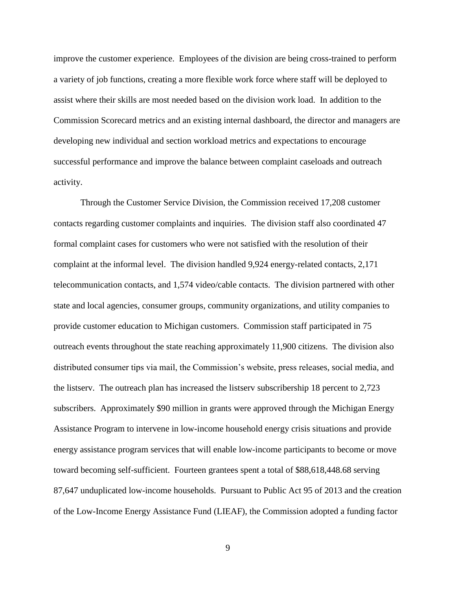improve the customer experience. Employees of the division are being cross-trained to perform a variety of job functions, creating a more flexible work force where staff will be deployed to assist where their skills are most needed based on the division work load. In addition to the Commission Scorecard metrics and an existing internal dashboard, the director and managers are developing new individual and section workload metrics and expectations to encourage successful performance and improve the balance between complaint caseloads and outreach activity.

Through the Customer Service Division, the Commission received 17,208 customer contacts regarding customer complaints and inquiries. The division staff also coordinated 47 formal complaint cases for customers who were not satisfied with the resolution of their complaint at the informal level. The division handled 9,924 energy-related contacts, 2,171 telecommunication contacts, and 1,574 video/cable contacts. The division partnered with other state and local agencies, consumer groups, community organizations, and utility companies to provide customer education to Michigan customers. Commission staff participated in 75 outreach events throughout the state reaching approximately 11,900 citizens. The division also distributed consumer tips via mail, the Commission's website, press releases, social media, and the listserv. The outreach plan has increased the listserv subscribership 18 percent to 2,723 subscribers. Approximately \$90 million in grants were approved through the Michigan Energy Assistance Program to intervene in low-income household energy crisis situations and provide energy assistance program services that will enable low-income participants to become or move toward becoming self-sufficient. Fourteen grantees spent a total of \$88,618,448.68 serving 87,647 unduplicated low-income households. Pursuant to Public Act 95 of 2013 and the creation of the Low-Income Energy Assistance Fund (LIEAF), the Commission adopted a funding factor

9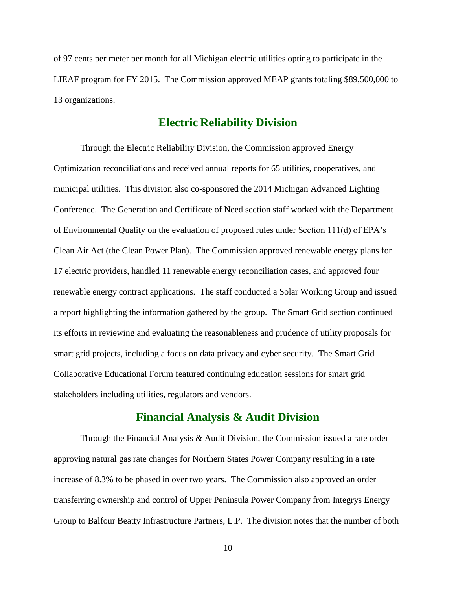of 97 cents per meter per month for all Michigan electric utilities opting to participate in the LIEAF program for FY 2015. The Commission approved MEAP grants totaling \$89,500,000 to 13 organizations.

#### **Electric Reliability Division**

Through the Electric Reliability Division, the Commission approved Energy Optimization reconciliations and received annual reports for 65 utilities, cooperatives, and municipal utilities. This division also co-sponsored the 2014 Michigan Advanced Lighting Conference. The Generation and Certificate of Need section staff worked with the Department of Environmental Quality on the evaluation of proposed rules under Section 111(d) of EPA's Clean Air Act (the Clean Power Plan). The Commission approved renewable energy plans for 17 electric providers, handled 11 renewable energy reconciliation cases, and approved four renewable energy contract applications. The staff conducted a Solar Working Group and issued a [report](http://www.michigan.gov/documents/mpsc/solar_report_2014_461573_7.pdf?20141230164638) highlighting the information gathered by the group. The Smart Grid section continued its efforts in reviewing and evaluating the reasonableness and prudence of utility proposals for smart grid projects, including a focus on data privacy and cyber security. The Smart Grid Collaborative Educational Forum featured continuing education sessions for smart grid stakeholders including utilities, regulators and vendors.

#### **Financial Analysis & Audit Division**

Through the Financial Analysis & Audit Division, the Commission issued a rate order approving natural gas rate changes for Northern States Power Company resulting in a rate increase of 8.3% to be phased in over two years. The Commission also approved an order transferring ownership and control of Upper Peninsula Power Company from Integrys Energy Group to Balfour Beatty Infrastructure Partners, L.P. The division notes that the number of both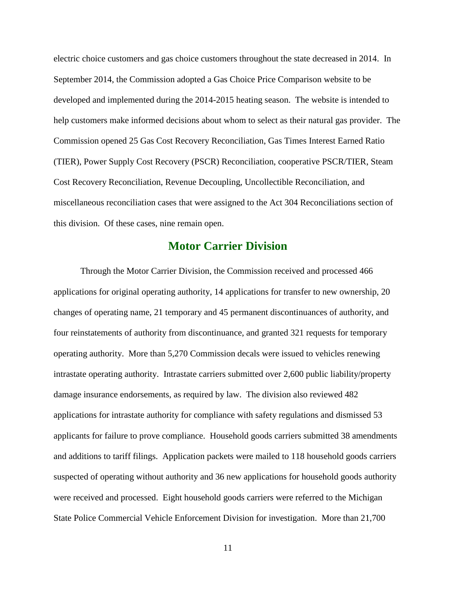electric choice customers and gas choice customers throughout the state decreased in 2014. In September 2014, the Commission adopted a Gas Choice Price Comparison website to be developed and implemented during the 2014-2015 heating season. The website is intended to help customers make informed decisions about whom to select as their natural gas provider. The Commission opened 25 Gas Cost Recovery Reconciliation, Gas Times Interest Earned Ratio (TIER), Power Supply Cost Recovery (PSCR) Reconciliation, cooperative PSCR/TIER, Steam Cost Recovery Reconciliation, Revenue Decoupling, Uncollectible Reconciliation, and miscellaneous reconciliation cases that were assigned to the Act 304 Reconciliations section of this division. Of these cases, nine remain open.

#### **Motor Carrier Division**

Through the Motor Carrier Division, the Commission received and processed 466 applications for original operating authority, 14 applications for transfer to new ownership, 20 changes of operating name, 21 temporary and 45 permanent discontinuances of authority, and four reinstatements of authority from discontinuance, and granted 321 requests for temporary operating authority. More than 5,270 Commission decals were issued to vehicles renewing intrastate operating authority. Intrastate carriers submitted over 2,600 public liability/property damage insurance endorsements, as required by law. The division also reviewed 482 applications for intrastate authority for compliance with safety regulations and dismissed 53 applicants for failure to prove compliance. Household goods carriers submitted 38 amendments and additions to tariff filings. Application packets were mailed to 118 household goods carriers suspected of operating without authority and 36 new applications for household goods authority were received and processed. Eight household goods carriers were referred to the Michigan State Police Commercial Vehicle Enforcement Division for investigation. More than 21,700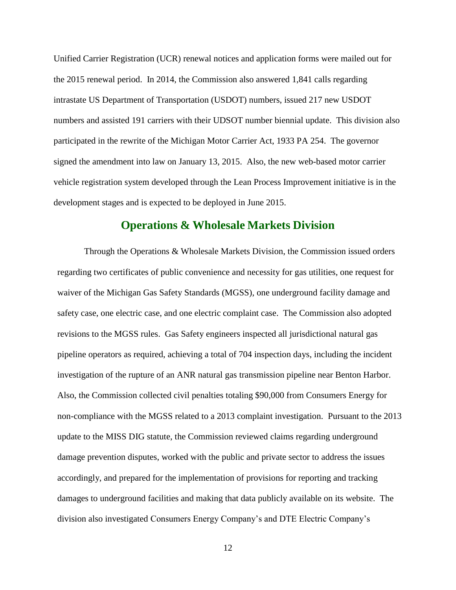Unified Carrier Registration (UCR) renewal notices and application forms were mailed out for the 2015 renewal period. In 2014, the Commission also answered 1,841 calls regarding intrastate US Department of Transportation (USDOT) numbers, issued 217 new USDOT numbers and assisted 191 carriers with their UDSOT number biennial update. This division also participated in the rewrite of the Michigan Motor Carrier Act, 1933 PA 254. The governor signed the amendment into law on January 13, 2015. Also, the new web-based motor carrier vehicle registration system developed through the Lean Process Improvement initiative is in the development stages and is expected to be deployed in June 2015.

#### **Operations & Wholesale Markets Division**

Through the Operations & Wholesale Markets Division, the Commission issued orders regarding two certificates of public convenience and necessity for gas utilities, one request for waiver of the Michigan Gas Safety Standards (MGSS), one underground facility damage and safety case, one electric case, and one electric complaint case. The Commission also adopted revisions to the MGSS rules. Gas Safety engineers inspected all jurisdictional natural gas pipeline operators as required, achieving a total of 704 inspection days, including the incident investigation of the rupture of an ANR natural gas transmission pipeline near Benton Harbor. Also, the Commission collected civil penalties totaling \$90,000 from Consumers Energy for non-compliance with the MGSS related to a 2013 complaint investigation. Pursuant to the 2013 update to the MISS DIG statute, the Commission reviewed claims regarding underground damage prevention disputes, worked with the public and private sector to address the issues accordingly, and prepared for the implementation of provisions for reporting and tracking damages to underground facilities and making that data publicly available on its website. The division also investigated Consumers Energy Company's and DTE Electric Company's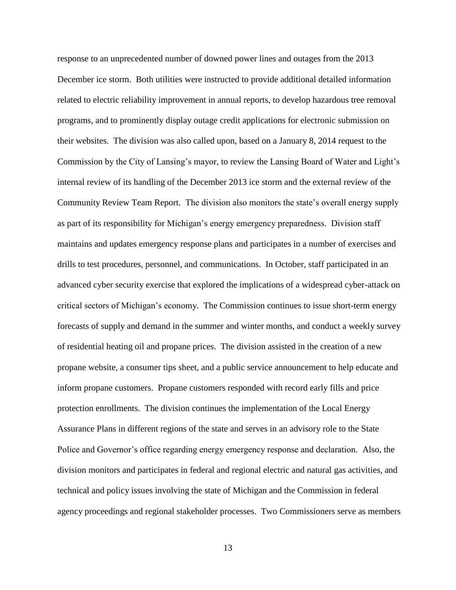response to an unprecedented number of downed power lines and outages from the 2013 December ice storm. Both utilities were instructed to provide additional detailed information related to electric reliability improvement in annual reports, to develop hazardous tree removal programs, and to prominently display outage credit applications for electronic submission on their websites. The division was also called upon, based on a January 8, 2014 request to the Commission by the City of Lansing's mayor, to review the Lansing Board of Water and Light's internal review of its handling of the December 2013 ice storm and the external review of the Community Review Team Report. The division also monitors the state's overall energy supply as part of its responsibility for Michigan's energy emergency preparedness. Division staff maintains and updates emergency response plans and participates in a number of exercises and drills to test procedures, personnel, and communications. In October, staff participated in an advanced cyber security exercise that explored the implications of a widespread cyber-attack on critical sectors of Michigan's economy. The Commission continues to issue short-term energy forecasts of supply and demand in the summer and winter months, and conduct a weekly survey of residential heating oil and propane prices. The division assisted in the creation of a new propane website, a consumer tips sheet, and a public service announcement to help educate and inform propane customers. Propane customers responded with record early fills and price protection enrollments. The division continues the implementation of the Local Energy Assurance Plans in different regions of the state and serves in an advisory role to the State Police and Governor's office regarding energy emergency response and declaration. Also, the division monitors and participates in federal and regional electric and natural gas activities, and technical and policy issues involving the state of Michigan and the Commission in federal agency proceedings and regional stakeholder processes. Two Commissioners serve as members

13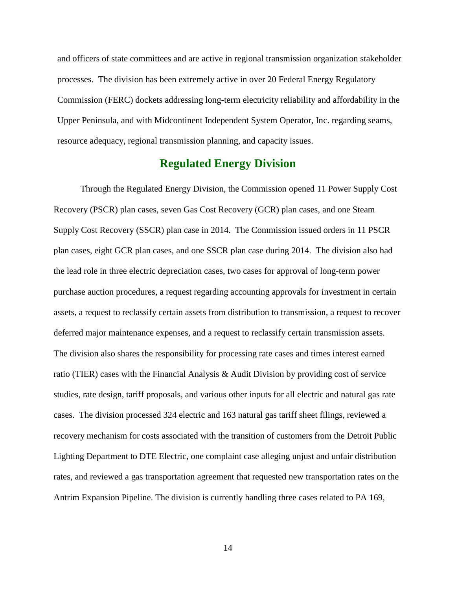and officers of state committees and are active in regional transmission organization stakeholder processes. The division has been extremely active in over 20 Federal Energy Regulatory Commission (FERC) dockets addressing long-term electricity reliability and affordability in the Upper Peninsula, and with Midcontinent Independent System Operator, Inc. regarding seams, resource adequacy, regional transmission planning, and capacity issues.

#### **Regulated Energy Division**

Through the Regulated Energy Division, the Commission opened 11 Power Supply Cost Recovery (PSCR) plan cases, seven Gas Cost Recovery (GCR) plan cases, and one Steam Supply Cost Recovery (SSCR) plan case in 2014. The Commission issued orders in 11 PSCR plan cases, eight GCR plan cases, and one SSCR plan case during 2014. The division also had the lead role in three electric depreciation cases, two cases for approval of long-term power purchase auction procedures, a request regarding accounting approvals for investment in certain assets, a request to reclassify certain assets from distribution to transmission, a request to recover deferred major maintenance expenses, and a request to reclassify certain transmission assets. The division also shares the responsibility for processing rate cases and times interest earned ratio (TIER) cases with the Financial Analysis & Audit Division by providing cost of service studies, rate design, tariff proposals, and various other inputs for all electric and natural gas rate cases. The division processed 324 electric and 163 natural gas tariff sheet filings, reviewed a recovery mechanism for costs associated with the transition of customers from the Detroit Public Lighting Department to DTE Electric, one complaint case alleging unjust and unfair distribution rates, and reviewed a gas transportation agreement that requested new transportation rates on the Antrim Expansion Pipeline. The division is currently handling three cases related to PA 169,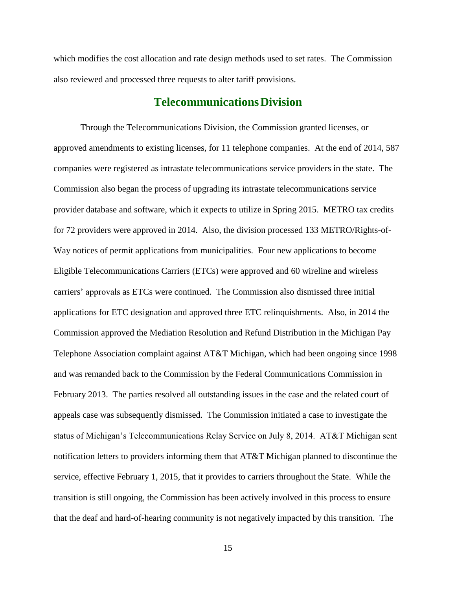which modifies the cost allocation and rate design methods used to set rates. The Commission also reviewed and processed three requests to alter tariff provisions.

#### **TelecommunicationsDivision**

Through the Telecommunications Division, the Commission granted licenses, or approved amendments to existing licenses, for 11 telephone companies. At the end of 2014, 587 companies were registered as intrastate telecommunications service providers in the state. The Commission also began the process of upgrading its intrastate telecommunications service provider database and software, which it expects to utilize in Spring 2015. METRO tax credits for 72 providers were approved in 2014. Also, the division processed 133 METRO/Rights-of-Way notices of permit applications from municipalities. Four new applications to become Eligible Telecommunications Carriers (ETCs) were approved and 60 wireline and wireless carriers' approvals as ETCs were continued. The Commission also dismissed three initial applications for ETC designation and approved three ETC relinquishments. Also, in 2014 the Commission approved the Mediation Resolution and Refund Distribution in the Michigan Pay Telephone Association complaint against AT&T Michigan, which had been ongoing since 1998 and was remanded back to the Commission by the Federal Communications Commission in February 2013. The parties resolved all outstanding issues in the case and the related court of appeals case was subsequently dismissed. The Commission initiated a case to investigate the status of Michigan's Telecommunications Relay Service on July 8, 2014. AT&T Michigan sent notification letters to providers informing them that AT&T Michigan planned to discontinue the service, effective February 1, 2015, that it provides to carriers throughout the State. While the transition is still ongoing, the Commission has been actively involved in this process to ensure that the deaf and hard-of-hearing community is not negatively impacted by this transition. The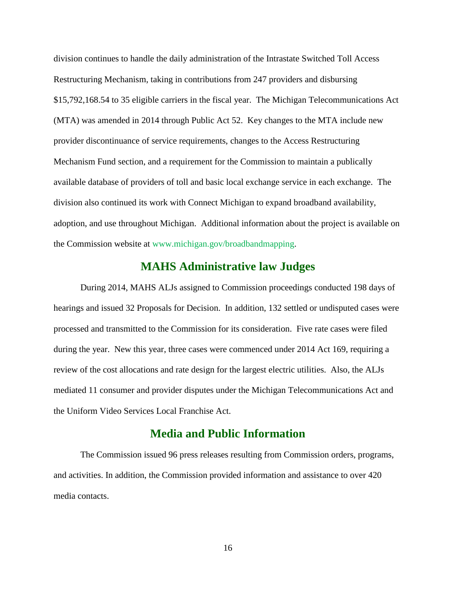division continues to handle the daily administration of the Intrastate Switched Toll Access Restructuring Mechanism, taking in contributions from 247 providers and disbursing \$15,792,168.54 to 35 eligible carriers in the fiscal year. The Michigan Telecommunications Act (MTA) was amended in 2014 through Public Act 52. Key changes to the MTA include new provider discontinuance of service requirements, changes to the Access Restructuring Mechanism Fund section, and a requirement for the Commission to maintain a publically available database of providers of toll and basic local exchange service in each exchange. The division also continued its work with Connect Michigan to expand broadband availability, adoption, and use throughout Michigan. Additional information about the project is available on the Commission website at [www.michigan.gov/broadbandmapping.](http://www.michigan.gov/mpsc/0,1607,7-159-16372_55128---,00.html)

#### **MAHS Administrative law Judges**

During 2014, MAHS ALJs assigned to Commission proceedings conducted 198 days of hearings and issued 32 Proposals for Decision. In addition, 132 settled or undisputed cases were processed and transmitted to the Commission for its consideration. Five rate cases were filed during the year. New this year, three cases were commenced under 2014 Act 169, requiring a review of the cost allocations and rate design for the largest electric utilities. Also, the ALJs mediated 11 consumer and provider disputes under the Michigan Telecommunications Act and the Uniform Video Services Local Franchise Act.

#### **Media and Public Information**

The Commission issued 96 press releases resulting from Commission orders, programs, and activities. In addition, the Commission provided information and assistance to over 420 media contacts.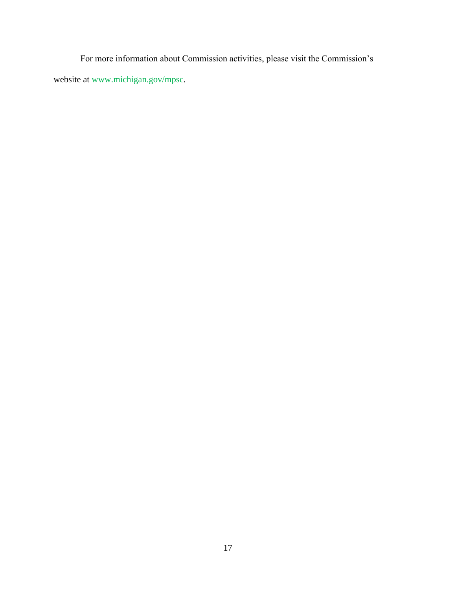For more information about Commission activities, please visit the Commission's website at [www.michigan.gov/mpsc.](file://hcs084vsnbpf003/dleg4/PSC/Shared/PSC%20Data/PSC/psc_rad/ANNUAL%20REPORT/2014/www.michigan.gov/mpsc)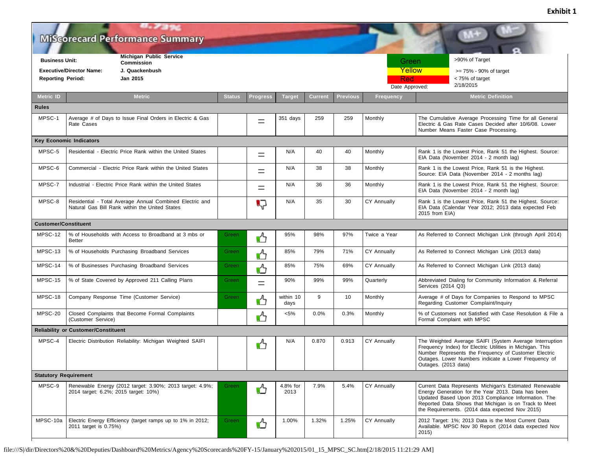$H_{\star}$  ,  $T_{\rm eff}$  and **Miscorecard Performance Summary Business Unit: Michigan Public Service Business Unit:** Green >90% of Target **Commission** >90% of Target Commission >90% of Target Commission >90% of Target Commission Green **Yellow Executive/Director Name: J. Quackenbush** >= 75% - 90% of target < 75% of target  **Reporting Period: Jan 2015** Red <75% of target Red2/18/2015 Date Approved: **Metric ID Metric Status Progress Target Current Previous Frequency Metric Definition Rules** 351 days 259 259 Monthly The Cumulative Average Processing Time for all General MPSC-1 Average # of Days to Issue Final Orders in Electric & Gas  $=$ Rate Cases Electric & Gas Rate Cases Decided after 10/6/08. Lower Number Means Faster Case Processing. **Key Economic Indicators** MPSC-5 Residential - Electric Price Rank within the United States  $\begin{vmatrix} \cdot & \cdot & \cdot \\ \cdot & \cdot & \cdot \\ \cdot & \cdot & \cdot \end{vmatrix}$  N/A 40 Monthly Rank 1 is the Lowest Price, Rank 51 the Highest. Source: EIA Data (November 2014 - 2 month lag) MPSC-6 Commercial - Electric Price Rank within the United States N/A 2 1 M/A 38 Monthly Rank 1 is the Lowest Price, Rank 51 is the Highest. Source: EIA Data (November 2014 - 2 months lag) MPSC-7 Industrial - Electric Price Rank within the United States New York Highest. Source: EIA Data (November 2014 - 2 month lag) MPSC-8 | Residential - Total Average Annual Combined Electric and N/A 35 30 CY Annually Rank 1 is the Lowest Price, Rank 51 the Highest. Source: ГJ Natural Gas Bill Rank within the United States EIA Data (Calendar Year 2012; 2013 data expected Feb 2015 from EIA) **Customer/Constituent** MPSC-12 | % of Households with Access to Broadband at 3 mbs or Green 1. 1 95% 98% 97% Twice a Year As Referred to Connect Michigan Link (through April 2014) Better MPSC-13 % of Households Purchasing Broadband Services Green A Green A SS% 79% 71% CY Annually As Referred to Connect Michigan Link (2013 data) MPSC-14 % of Businesses Purchasing Broadband Services Green 85% 75% 69% CY Annually As Referred to Connect Michigan Link (2013 data) MPSC-15 % of State Covered by Approved 211 Calling Plans Green  $\Box$  90% 99% 99% Quarterly Abbreviated Dialing for Community Information & Referral Services (2014 Q3) MPSC-18 Company Response Time (Customer Service) Green MESC-18 within 10 9 10 Monthly Average # of Days for Companies to Respond to MPSC Regarding Customer Complaint/Inquiry days MPSC-20 Closed Complaints that Become Formal Complaints <5% 0.0% 0.3% Monthly % of Customers not Satisfied with Case Resolution & File a (Customer Service) Formal Complaint with MPSC **Reliability or Customer/Constituent** MPSC-4 Electric Distribution Reliability: Michigan Weighted SAIFI | **A** N/A 0.870 0.913 CY Annually The Weighted Average SAIFI (System Average Interruption Frequency Index) for Electric Utilities in Michigan. This Number Represents the Frequency of Customer Electric Outages. Lower Numbers indicate a Lower Frequency of Outages. (2013 data) **Statutory Requirement** Green  $\mathcal{A}$  4.8% for MPSC-9 Renewable Energy (2012 target: 3.90%; 2013 target: 4.9%; 7.9% 5.4% CY Annually Current Data Represents Michigan's Estimated Renewable 2014 target: 6.2%; 2015 target: 10%) 2013 Energy Generation for the Year 2013. Data has been Updated Based Upon 2013 Compliance Information. The Reported Data Shows that Michigan is on Track to Meet the Requirements. (2014 data expected Nov 2015)

Green 1.00% 1.32% 1.25% CY Annually 2012 Target: 1%; 2013 Data is the Most Current Data<br>Available MPSC Nov 30 Report (2014 data expected

2015)

Available. MPSC Nov 30 Report (2014 data expected Nov

**Exhibit 1**

file:///S|/dir/Directors%20&%20Deputies/Dashboard%20Metrics/Agency%20Scorecards%20FY-15/January%202015/01\_15\_MPSC\_SC.htm[2/18/2015 11:21:29 AM]

MPSC-10a | Electric Energy Efficiency (target ramps up to 1% in 2012;

2011 target is 0.75%)